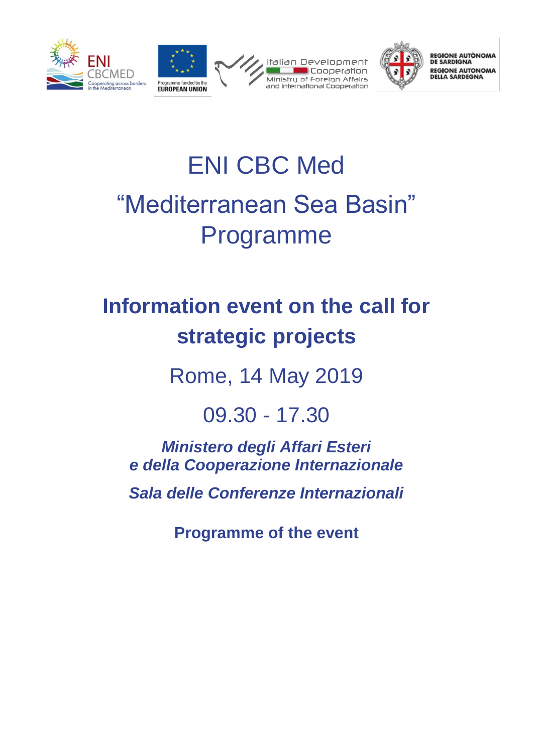



REGIONE AUTÒNOMA<br>DE SARDIGNA **REGIONE AUTONOMA**<br>DELLA SARDEGNA

# ENI CBC Med "Mediterranean Sea Basin" Programme

# **Information event on the call for strategic projects**

Rome, 14 May 2019

09.30 - 17.30

*Ministero degli Affari Esteri e della Cooperazione Internazionale* 

*Sala delle Conferenze Internazionali*

**Programme of the event**